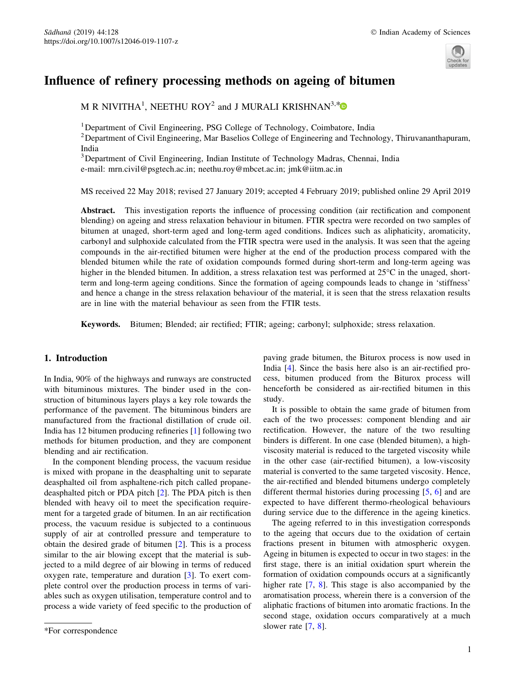

# Influence of refinery processing methods on ageing of bitumen

M R NIVITHA<sup>1</sup>, NEETHU ROY<sup>2</sup> and J MURALI KRISHNAN<sup>3,[\\*](http://orcid.org/0000-0002-7091-5930)</sup>

<sup>1</sup>Department of Civil Engineering, PSG College of Technology, Coimbatore, India

<sup>2</sup> Department of Civil Engineering, Mar Baselios College of Engineering and Technology, Thiruvananthapuram, India

<sup>3</sup>Department of Civil Engineering, Indian Institute of Technology Madras, Chennai, India

e-mail: mrn.civil@psgtech.ac.in; neethu.roy@mbcet.ac.in; jmk@iitm.ac.in

MS received 22 May 2018; revised 27 January 2019; accepted 4 February 2019; published online 29 April 2019

Abstract. This investigation reports the influence of processing condition (air rectification and component blending) on ageing and stress relaxation behaviour in bitumen. FTIR spectra were recorded on two samples of bitumen at unaged, short-term aged and long-term aged conditions. Indices such as aliphaticity, aromaticity, carbonyl and sulphoxide calculated from the FTIR spectra were used in the analysis. It was seen that the ageing compounds in the air-rectified bitumen were higher at the end of the production process compared with the blended bitumen while the rate of oxidation compounds formed during short-term and long-term ageing was higher in the blended bitumen. In addition, a stress relaxation test was performed at  $25^{\circ}$ C in the unaged, shortterm and long-term ageing conditions. Since the formation of ageing compounds leads to change in 'stiffness' and hence a change in the stress relaxation behaviour of the material, it is seen that the stress relaxation results are in line with the material behaviour as seen from the FTIR tests.

Keywords. Bitumen; Blended; air rectified; FTIR; ageing; carbonyl; sulphoxide; stress relaxation.

# 1. Introduction

In India, 90% of the highways and runways are constructed with bituminous mixtures. The binder used in the construction of bituminous layers plays a key role towards the performance of the pavement. The bituminous binders are manufactured from the fractional distillation of crude oil. India has 12 bitumen producing refineries [\[1](#page-6-0)] following two methods for bitumen production, and they are component blending and air rectification.

In the component blending process, the vacuum residue is mixed with propane in the deasphalting unit to separate deasphalted oil from asphaltene-rich pitch called propanedeasphalted pitch or PDA pitch [\[2](#page-6-0)]. The PDA pitch is then blended with heavy oil to meet the specification requirement for a targeted grade of bitumen. In an air rectification process, the vacuum residue is subjected to a continuous supply of air at controlled pressure and temperature to obtain the desired grade of bitumen [\[2](#page-6-0)]. This is a process similar to the air blowing except that the material is subjected to a mild degree of air blowing in terms of reduced oxygen rate, temperature and duration [\[3](#page-6-0)]. To exert complete control over the production process in terms of variables such as oxygen utilisation, temperature control and to process a wide variety of feed specific to the production of paving grade bitumen, the Biturox process is now used in India [\[4](#page-7-0)]. Since the basis here also is an air-rectified process, bitumen produced from the Biturox process will henceforth be considered as air-rectified bitumen in this study.

It is possible to obtain the same grade of bitumen from each of the two processes: component blending and air rectification. However, the nature of the two resulting binders is different. In one case (blended bitumen), a highviscosity material is reduced to the targeted viscosity while in the other case (air-rectified bitumen), a low-viscosity material is converted to the same targeted viscosity. Hence, the air-rectified and blended bitumens undergo completely different thermal histories during processing [\[5](#page-7-0), [6\]](#page-7-0) and are expected to have different thermo-rheological behaviours during service due to the difference in the ageing kinetics.

The ageing referred to in this investigation corresponds to the ageing that occurs due to the oxidation of certain fractions present in bitumen with atmospheric oxygen. Ageing in bitumen is expected to occur in two stages: in the first stage, there is an initial oxidation spurt wherein the formation of oxidation compounds occurs at a significantly higher rate [[7,](#page-7-0) [8](#page-7-0)]. This stage is also accompanied by the aromatisation process, wherein there is a conversion of the aliphatic fractions of bitumen into aromatic fractions. In the second stage, oxidation occurs comparatively at a much

 $\overline{\text{F}}$ For correspondence since  $[7, 8]$  $[7, 8]$  $[7, 8]$  $[7, 8]$ .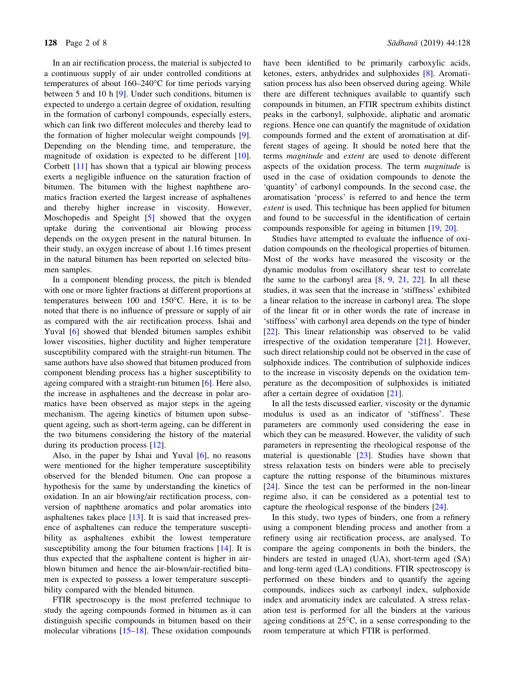In an air rectification process, the material is subjected to a continuous supply of air under controlled conditions at temperatures of about  $160-240^{\circ}$ C for time periods varying between 5 and 10 h [[9\]](#page-7-0). Under such conditions, bitumen is expected to undergo a certain degree of oxidation, resulting in the formation of carbonyl compounds, especially esters, which can link two different molecules and thereby lead to the formation of higher molecular weight compounds [[9\]](#page-7-0). Depending on the blending time, and temperature, the magnitude of oxidation is expected to be different [[10\]](#page-7-0). Corbett [\[11](#page-7-0)] has shown that a typical air blowing process exerts a negligible influence on the saturation fraction of bitumen. The bitumen with the highest naphthene aromatics fraction exerted the largest increase of asphaltenes and thereby higher increase in viscosity. However, Moschopedis and Speight [[5\]](#page-7-0) showed that the oxygen uptake during the conventional air blowing process depends on the oxygen present in the natural bitumen. In their study, an oxygen increase of about 1.16 times present in the natural bitumen has been reported on selected bitumen samples.

In a component blending process, the pitch is blended with one or more lighter fractions at different proportions at temperatures between  $100$  and  $150^{\circ}$ C. Here, it is to be noted that there is no influence of pressure or supply of air as compared with the air rectification process. Ishai and Yuval [[6](#page-7-0)] showed that blended bitumen samples exhibit lower viscosities, higher ductility and higher temperature susceptibility compared with the straight-run bitumen. The same authors have also showed that bitumen produced from component blending process has a higher susceptibility to ageing compared with a straight-run bitumen [[6\]](#page-7-0). Here also, the increase in asphaltenes and the decrease in polar aromatics have been observed as major steps in the ageing mechanism. The ageing kinetics of bitumen upon subsequent ageing, such as short-term ageing, can be different in the two bitumens considering the history of the material during its production process [\[12](#page-7-0)].

Also, in the paper by Ishai and Yuval [\[6](#page-7-0)], no reasons were mentioned for the higher temperature susceptibility observed for the blended bitumen. One can propose a hypothesis for the same by understanding the kinetics of oxidation. In an air blowing/air rectification process, conversion of naphthene aromatics and polar aromatics into asphaltenes takes place [[13\]](#page-7-0). It is said that increased presence of asphaltenes can reduce the temperature susceptibility as asphaltenes exhibit the lowest temperature susceptibility among the four bitumen fractions [\[14](#page-7-0)]. It is thus expected that the asphaltene content is higher in airblown bitumen and hence the air-blown/air-rectified bitumen is expected to possess a lower temperature susceptibility compared with the blended bitumen.

FTIR spectroscopy is the most preferred technique to study the ageing compounds formed in bitumen as it can distinguish specific compounds in bitumen based on their molecular vibrations [[15–18](#page-7-0)]. These oxidation compounds have been identified to be primarily carboxylic acids, ketones, esters, anhydrides and sulphoxides [[8\]](#page-7-0). Aromatisation process has also been observed during ageing. While there are different techniques available to quantify such compounds in bitumen, an FTIR spectrum exhibits distinct peaks in the carbonyl, sulphoxide, aliphatic and aromatic regions. Hence one can quantify the magnitude of oxidation compounds formed and the extent of aromatisation at different stages of ageing. It should be noted here that the terms magnitude and extent are used to denote different aspects of the oxidation process. The term magnitude is used in the case of oxidation compounds to denote the 'quantity' of carbonyl compounds. In the second case, the aromatisation 'process' is referred to and hence the term extent is used. This technique has been applied for bitumen and found to be successful in the identification of certain compounds responsible for ageing in bitumen [[19,](#page-7-0) [20](#page-7-0)].

Studies have attempted to evaluate the influence of oxidation compounds on the rheological properties of bitumen. Most of the works have measured the viscosity or the dynamic modulus from oscillatory shear test to correlate the same to the carbonyl area  $[8, 9, 21, 22]$  $[8, 9, 21, 22]$  $[8, 9, 21, 22]$  $[8, 9, 21, 22]$  $[8, 9, 21, 22]$  $[8, 9, 21, 22]$  $[8, 9, 21, 22]$  $[8, 9, 21, 22]$ . In all these studies, it was seen that the increase in 'stiffness' exhibited a linear relation to the increase in carbonyl area. The slope of the linear fit or in other words the rate of increase in 'stiffness' with carbonyl area depends on the type of binder [\[22](#page-7-0)]. This linear relationship was observed to be valid irrespective of the oxidation temperature [[21\]](#page-7-0). However, such direct relationship could not be observed in the case of sulphoxide indices. The contribution of sulphoxide indices to the increase in viscosity depends on the oxidation temperature as the decomposition of sulphoxides is initiated after a certain degree of oxidation [\[21](#page-7-0)].

In all the tests discussed earlier, viscosity or the dynamic modulus is used as an indicator of 'stiffness'. These parameters are commonly used considering the ease in which they can be measured. However, the validity of such parameters in representing the rheological response of the material is questionable [[23\]](#page-7-0). Studies have shown that stress relaxation tests on binders were able to precisely capture the rutting response of the bituminous mixtures [\[24](#page-7-0)]. Since the test can be performed in the non-linear regime also, it can be considered as a potential test to capture the rheological response of the binders [\[24](#page-7-0)].

In this study, two types of binders, one from a refinery using a component blending process and another from a refinery using air rectification process, are analysed. To compare the ageing components in both the binders, the binders are tested in unaged (UA), short-term aged (SA) and long-term aged (LA) conditions. FTIR spectroscopy is performed on these binders and to quantify the ageing compounds, indices such as carbonyl index, sulphoxide index and aromaticity index are calculated. A stress relaxation test is performed for all the binders at the various ageing conditions at  $25^{\circ}$ C, in a sense corresponding to the room temperature at which FTIR is performed.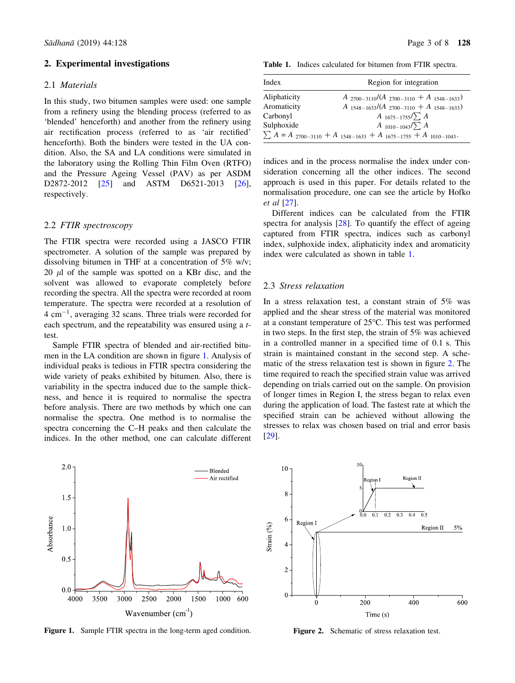#### 2. Experimental investigations

### 2.1 Materials

In this study, two bitumen samples were used: one sample from a refinery using the blending process (referred to as 'blended' henceforth) and another from the refinery using air rectification process (referred to as 'air rectified' henceforth). Both the binders were tested in the UA condition. Also, the SA and LA conditions were simulated in the laboratory using the Rolling Thin Film Oven (RTFO) and the Pressure Ageing Vessel (PAV) as per ASDM D2872-2012 [[25\]](#page-7-0) and ASTM D6521-2013 [[26\]](#page-7-0), respectively.

#### 2.2 FTIR spectroscopy

The FTIR spectra were recorded using a JASCO FTIR spectrometer. A solution of the sample was prepared by dissolving bitumen in THF at a concentration of 5% w/v; 20  $\mu$ l of the sample was spotted on a KBr disc, and the solvent was allowed to evaporate completely before recording the spectra. All the spectra were recorded at room temperature. The spectra were recorded at a resolution of  $4 \text{ cm}^{-1}$ , averaging 32 scans. Three trials were recorded for each spectrum, and the repeatability was ensured using a ttest.

Sample FTIR spectra of blended and air-rectified bitumen in the LA condition are shown in figure 1. Analysis of individual peaks is tedious in FTIR spectra considering the wide variety of peaks exhibited by bitumen. Also, there is variability in the spectra induced due to the sample thickness, and hence it is required to normalise the spectra before analysis. There are two methods by which one can normalise the spectra. One method is to normalise the spectra concerning the C–H peaks and then calculate the indices. In the other method, one can calculate different

Table 1. Indices calculated for bitumen from FTIR spectra.

| Index        | Region for integration                                                   |  |  |
|--------------|--------------------------------------------------------------------------|--|--|
| Aliphaticity | $A_{2700-3110}/(A_{2700-3110}+A_{1548-1633})$                            |  |  |
| Aromaticity  | $A_{1548-1633}/(A_{2700-3110}+A_{1548-1633})$                            |  |  |
| Carbonyl     | $A_{1675-1755}/\sum A$                                                   |  |  |
| Sulphoxide   | $A_{1010-1043}/\sum A$                                                   |  |  |
|              | $\sum A = A_{2700-3110} + A_{1548-1633} + A_{1675-1755} + A_{1010-1043}$ |  |  |

indices and in the process normalise the index under consideration concerning all the other indices. The second approach is used in this paper. For details related to the normalisation procedure, one can see the article by Hofko et al [[27\]](#page-7-0).

Different indices can be calculated from the FTIR spectra for analysis [\[28](#page-7-0)]. To quantify the effect of ageing captured from FTIR spectra, indices such as carbonyl index, sulphoxide index, aliphaticity index and aromaticity index were calculated as shown in table 1.

#### 2.3 Stress relaxation

In a stress relaxation test, a constant strain of 5% was applied and the shear stress of the material was monitored at a constant temperature of 25°C. This test was performed in two steps. In the first step, the strain of 5% was achieved in a controlled manner in a specified time of 0.1 s. This strain is maintained constant in the second step. A schematic of the stress relaxation test is shown in figure 2. The time required to reach the specified strain value was arrived depending on trials carried out on the sample. On provision of longer times in Region I, the stress began to relax even during the application of load. The fastest rate at which the specified strain can be achieved without allowing the stresses to relax was chosen based on trial and error basis [\[29](#page-7-0)].



Figure 1. Sample FTIR spectra in the long-term aged condition.



Figure 2. Schematic of stress relaxation test.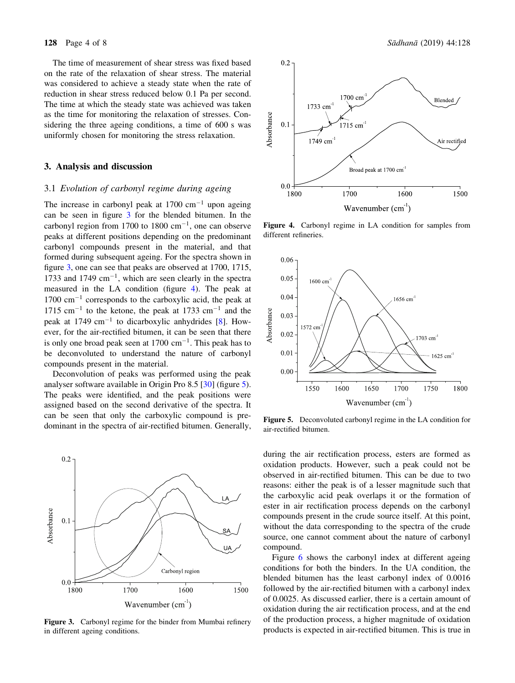The time of measurement of shear stress was fixed based on the rate of the relaxation of shear stress. The material was considered to achieve a steady state when the rate of reduction in shear stress reduced below 0.1 Pa per second. The time at which the steady state was achieved was taken as the time for monitoring the relaxation of stresses. Considering the three ageing conditions, a time of 600 s was uniformly chosen for monitoring the stress relaxation.

#### 3. Analysis and discussion

# 3.1 Evolution of carbonyl regime during ageing

The increase in carbonyl peak at  $1700 \text{ cm}^{-1}$  upon ageing can be seen in figure 3 for the blended bitumen. In the carbonyl region from 1700 to 1800  $\text{cm}^{-1}$ , one can observe peaks at different positions depending on the predominant carbonyl compounds present in the material, and that formed during subsequent ageing. For the spectra shown in figure 3, one can see that peaks are observed at 1700, 1715, 1733 and 1749  $\text{cm}^{-1}$ , which are seen clearly in the spectra measured in the LA condition (figure 4). The peak at 1700 cm-<sup>1</sup> corresponds to the carboxylic acid, the peak at  $1715 \text{ cm}^{-1}$  to the ketone, the peak at 1733 cm<sup>-1</sup> and the peak at 1749  $cm^{-1}$  to dicarboxylic anhydrides [[8\]](#page-7-0). However, for the air-rectified bitumen, it can be seen that there is only one broad peak seen at  $1700 \text{ cm}^{-1}$ . This peak has to be deconvoluted to understand the nature of carbonyl compounds present in the material.

Deconvolution of peaks was performed using the peak analyser software available in Origin Pro 8.5 [\[30](#page-7-0)] (figure 5). The peaks were identified, and the peak positions were assigned based on the second derivative of the spectra. It can be seen that only the carboxylic compound is predominant in the spectra of air-rectified bitumen. Generally,



Figure 3. Carbonyl regime for the binder from Mumbai refinery in different ageing conditions.



Figure 4. Carbonyl regime in LA condition for samples from different refineries.



Figure 5. Deconvoluted carbonyl regime in the LA condition for air-rectified bitumen.

during the air rectification process, esters are formed as oxidation products. However, such a peak could not be observed in air-rectified bitumen. This can be due to two reasons: either the peak is of a lesser magnitude such that the carboxylic acid peak overlaps it or the formation of ester in air rectification process depends on the carbonyl compounds present in the crude source itself. At this point, without the data corresponding to the spectra of the crude source, one cannot comment about the nature of carbonyl compound.

Figure [6](#page-4-0) shows the carbonyl index at different ageing conditions for both the binders. In the UA condition, the blended bitumen has the least carbonyl index of 0.0016 followed by the air-rectified bitumen with a carbonyl index of 0.0025. As discussed earlier, there is a certain amount of oxidation during the air rectification process, and at the end of the production process, a higher magnitude of oxidation products is expected in air-rectified bitumen. This is true in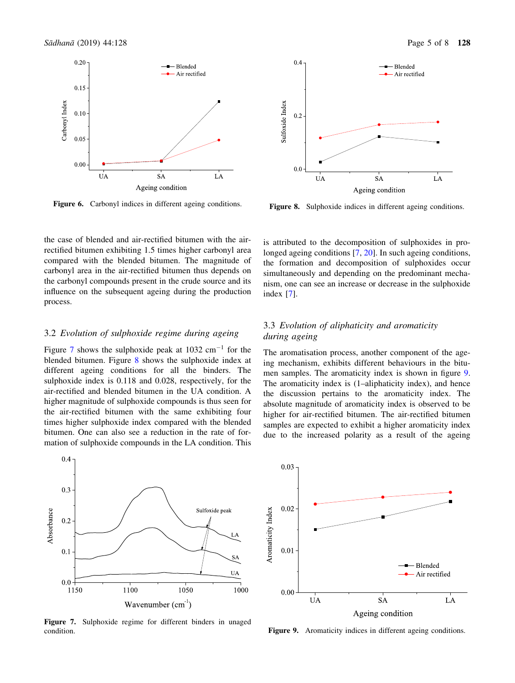<span id="page-4-0"></span>

Figure 6. Carbonyl indices in different ageing conditions.

the case of blended and air-rectified bitumen with the airrectified bitumen exhibiting 1.5 times higher carbonyl area compared with the blended bitumen. The magnitude of carbonyl area in the air-rectified bitumen thus depends on the carbonyl compounds present in the crude source and its influence on the subsequent ageing during the production process.

### 3.2 Evolution of sulphoxide regime during ageing

Figure 7 shows the sulphoxide peak at  $1032 \text{ cm}^{-1}$  for the blended bitumen. Figure 8 shows the sulphoxide index at different ageing conditions for all the binders. The sulphoxide index is 0.118 and 0.028, respectively, for the air-rectified and blended bitumen in the UA condition. A higher magnitude of sulphoxide compounds is thus seen for the air-rectified bitumen with the same exhibiting four times higher sulphoxide index compared with the blended bitumen. One can also see a reduction in the rate of formation of sulphoxide compounds in the LA condition. This



Figure 7. Sulphoxide regime for different binders in unaged condition.



Figure 8. Sulphoxide indices in different ageing conditions.

is attributed to the decomposition of sulphoxides in pro-longed ageing conditions [\[7](#page-7-0), [20](#page-7-0)]. In such ageing conditions, the formation and decomposition of sulphoxides occur simultaneously and depending on the predominant mechanism, one can see an increase or decrease in the sulphoxide index [[7\]](#page-7-0).

# 3.3 Evolution of aliphaticity and aromaticity during ageing

The aromatisation process, another component of the ageing mechanism, exhibits different behaviours in the bitumen samples. The aromaticity index is shown in figure 9. The aromaticity index is (1–aliphaticity index), and hence the discussion pertains to the aromaticity index. The absolute magnitude of aromaticity index is observed to be higher for air-rectified bitumen. The air-rectified bitumen samples are expected to exhibit a higher aromaticity index due to the increased polarity as a result of the ageing



Figure 9. Aromaticity indices in different ageing conditions.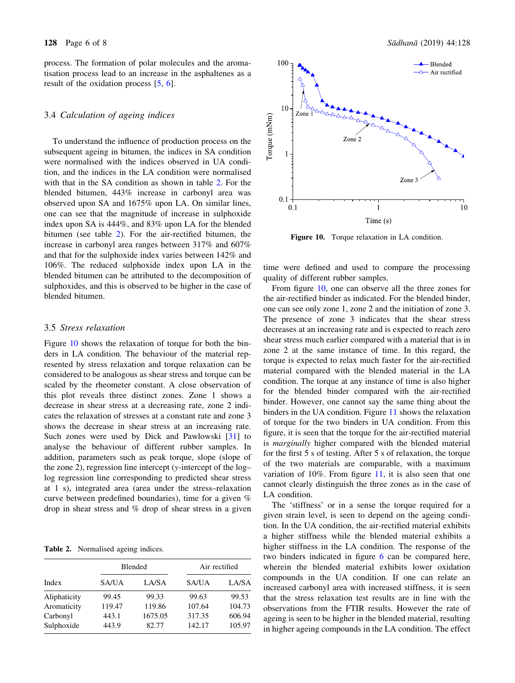process. The formation of polar molecules and the aromatisation process lead to an increase in the asphaltenes as a result of the oxidation process [[5,](#page-7-0) [6](#page-7-0)].

# 3.4 Calculation of ageing indices

To understand the influence of production process on the subsequent ageing in bitumen, the indices in SA condition were normalised with the indices observed in UA condition, and the indices in the LA condition were normalised with that in the SA condition as shown in table 2. For the blended bitumen, 443% increase in carbonyl area was observed upon SA and 1675% upon LA. On similar lines, one can see that the magnitude of increase in sulphoxide index upon SA is 444%, and 83% upon LA for the blended bitumen (see table 2). For the air-rectified bitumen, the increase in carbonyl area ranges between 317% and 607% and that for the sulphoxide index varies between 142% and 106%. The reduced sulphoxide index upon LA in the blended bitumen can be attributed to the decomposition of sulphoxides, and this is observed to be higher in the case of blended bitumen.

#### 3.5 Stress relaxation

Figure 10 shows the relaxation of torque for both the binders in LA condition. The behaviour of the material represented by stress relaxation and torque relaxation can be considered to be analogous as shear stress and torque can be scaled by the rheometer constant. A close observation of this plot reveals three distinct zones. Zone 1 shows a decrease in shear stress at a decreasing rate, zone 2 indicates the relaxation of stresses at a constant rate and zone 3 shows the decrease in shear stress at an increasing rate. Such zones were used by Dick and Pawlowski [\[31](#page-7-0)] to analyse the behaviour of different rubber samples. In addition, parameters such as peak torque, slope (slope of the zone 2), regression line intercept (y-intercept of the log– log regression line corresponding to predicted shear stress at 1 s), integrated area (area under the stress–relaxation curve between predefined boundaries), time for a given % drop in shear stress and % drop of shear stress in a given

Table 2. Normalised ageing indices.

| Index        | <b>Blended</b> |         | Air rectified |        |
|--------------|----------------|---------|---------------|--------|
|              | SA/UA          | LA/SA   | SA/UA         | LA/SA  |
| Aliphaticity | 99.45          | 99.33   | 99.63         | 99.53  |
| Aromaticity  | 119.47         | 119.86  | 107.64        | 104.73 |
| Carbonyl     | 443.1          | 1675.05 | 317.35        | 606.94 |
| Sulphoxide   | 443.9          | 82.77   | 142.17        | 105.97 |



Figure 10. Torque relaxation in LA condition.

time were defined and used to compare the processing quality of different rubber samples.

From figure 10, one can observe all the three zones for the air-rectified binder as indicated. For the blended binder, one can see only zone 1, zone 2 and the initiation of zone 3. The presence of zone 3 indicates that the shear stress decreases at an increasing rate and is expected to reach zero shear stress much earlier compared with a material that is in zone 2 at the same instance of time. In this regard, the torque is expected to relax much faster for the air-rectified material compared with the blended material in the LA condition. The torque at any instance of time is also higher for the blended binder compared with the air-rectified binder. However, one cannot say the same thing about the binders in the UA condition. Figure [11](#page-6-0) shows the relaxation of torque for the two binders in UA condition. From this figure, it is seen that the torque for the air-rectified material is marginally higher compared with the blended material for the first 5 s of testing. After 5 s of relaxation, the torque of the two materials are comparable, with a maximum variation of 10%. From figure [11](#page-6-0), it is also seen that one cannot clearly distinguish the three zones as in the case of LA condition.

The 'stiffness' or in a sense the torque required for a given strain level, is seen to depend on the ageing condition. In the UA condition, the air-rectified material exhibits a higher stiffness while the blended material exhibits a higher stiffness in the LA condition. The response of the two binders indicated in figure [6](#page-4-0) can be compared here, wherein the blended material exhibits lower oxidation compounds in the UA condition. If one can relate an increased carbonyl area with increased stiffness, it is seen that the stress relaxation test results are in line with the observations from the FTIR results. However the rate of ageing is seen to be higher in the blended material, resulting in higher ageing compounds in the LA condition. The effect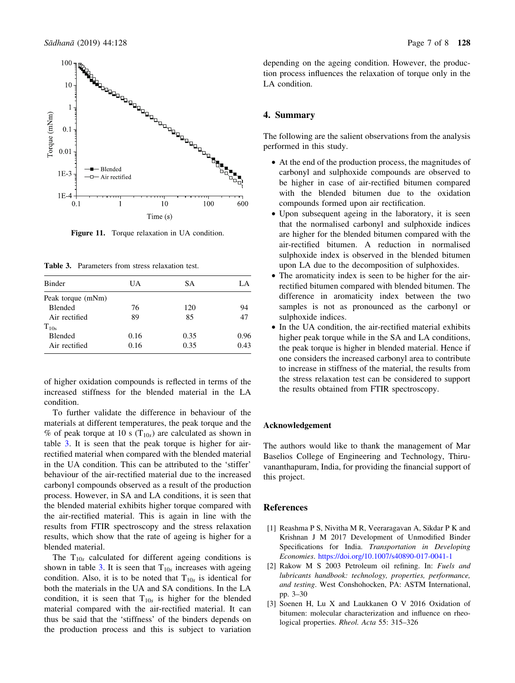<span id="page-6-0"></span>

Figure 11. Torque relaxation in UA condition.

Table 3. Parameters from stress relaxation test.

| <b>Binder</b>     | UA   | SА   | LA   |
|-------------------|------|------|------|
| Peak torque (mNm) |      |      |      |
| <b>Blended</b>    | 76   | 120  | 94   |
| Air rectified     | 89   | 85   | 47   |
| $T_{10s}$         |      |      |      |
| <b>Blended</b>    | 0.16 | 0.35 | 0.96 |
| Air rectified     | 0.16 | 0.35 | 0.43 |

of higher oxidation compounds is reflected in terms of the increased stiffness for the blended material in the LA condition.

To further validate the difference in behaviour of the materials at different temperatures, the peak torque and the % of peak torque at 10 s ( $T_{10s}$ ) are calculated as shown in table 3. It is seen that the peak torque is higher for airrectified material when compared with the blended material in the UA condition. This can be attributed to the 'stiffer' behaviour of the air-rectified material due to the increased carbonyl compounds observed as a result of the production process. However, in SA and LA conditions, it is seen that the blended material exhibits higher torque compared with the air-rectified material. This is again in line with the results from FTIR spectroscopy and the stress relaxation results, which show that the rate of ageing is higher for a blended material.

The  $T_{10s}$  calculated for different ageing conditions is shown in table 3. It is seen that  $T_{10s}$  increases with ageing condition. Also, it is to be noted that  $T_{10s}$  is identical for both the materials in the UA and SA conditions. In the LA condition, it is seen that  $T_{10s}$  is higher for the blended material compared with the air-rectified material. It can thus be said that the 'stiffness' of the binders depends on the production process and this is subject to variation depending on the ageing condition. However, the production process influences the relaxation of torque only in the LA condition.

## 4. Summary

The following are the salient observations from the analysis performed in this study.

- At the end of the production process, the magnitudes of carbonyl and sulphoxide compounds are observed to be higher in case of air-rectified bitumen compared with the blended bitumen due to the oxidation compounds formed upon air rectification.
- Upon subsequent ageing in the laboratory, it is seen that the normalised carbonyl and sulphoxide indices are higher for the blended bitumen compared with the air-rectified bitumen. A reduction in normalised sulphoxide index is observed in the blended bitumen upon LA due to the decomposition of sulphoxides.
- The aromaticity index is seen to be higher for the airrectified bitumen compared with blended bitumen. The difference in aromaticity index between the two samples is not as pronounced as the carbonyl or sulphoxide indices.
- In the UA condition, the air-rectified material exhibits higher peak torque while in the SA and LA conditions, the peak torque is higher in blended material. Hence if one considers the increased carbonyl area to contribute to increase in stiffness of the material, the results from the stress relaxation test can be considered to support the results obtained from FTIR spectroscopy.

#### Acknowledgement

The authors would like to thank the management of Mar Baselios College of Engineering and Technology, Thiruvananthapuram, India, for providing the financial support of this project.

# References

- [1] Reashma P S, Nivitha M R, Veeraragavan A, Sikdar P K and Krishnan J M 2017 Development of Unmodified Binder Specifications for India. Transportation in Developing Economies. <https://doi.org/10.1007/s40890-017-0041-1>
- [2] Rakow M S 2003 Petroleum oil refining. In: Fuels and lubricants handbook: technology, properties, performance, and testing. West Conshohocken, PA: ASTM International, pp. 3–30
- [3] Soenen H, Lu X and Laukkanen O V 2016 Oxidation of bitumen: molecular characterization and influence on rheological properties. Rheol. Acta 55: 315–326